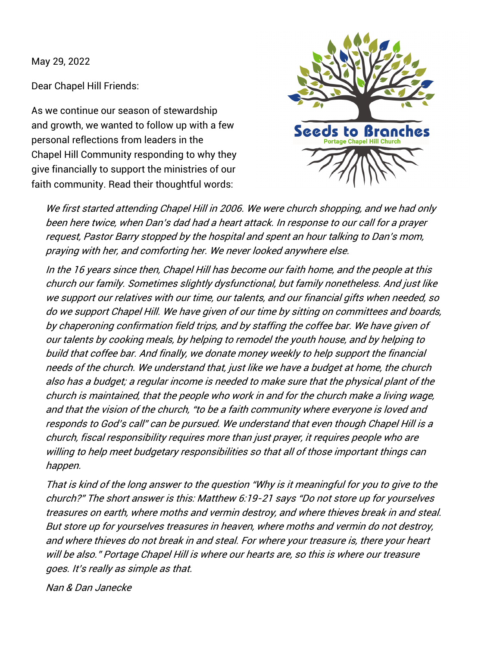May 29, 2022

Dear Chapel Hill Friends:

As we continue our season of stewardship and growth, we wanted to follow up with a few personal reflections from leaders in the Chapel Hill Community responding to why they give financially to support the ministries of our faith community. Read their thoughtful words:



We first started attending Chapel Hill in 2006. We were church shopping, and we had only been here twice, when Dan's dad had a heart attack. In response to our call for a prayer request, Pastor Barry stopped by the hospital and spent an hour talking to Dan's mom, praying with her, and comforting her. We never looked anywhere else.

In the 16 years since then, Chapel Hill has become our faith home, and the people at this church our family. Sometimes slightly dysfunctional, but family nonetheless. And just like we support our relatives with our time, our talents, and our financial gifts when needed, so do we support Chapel Hill. We have given of our time by sitting on committees and boards, by chaperoning confirmation field trips, and by staffing the coffee bar. We have given of our talents by cooking meals, by helping to remodel the youth house, and by helping to build that coffee bar. And finally, we donate money weekly to help support the financial needs of the church. We understand that, just like we have a budget at home, the church also has a budget; a regular income is needed to make sure that the physical plant of the church is maintained, that the people who work in and for the church make a living wage, and that the vision of the church, "to be a faith community where everyone is loved and responds to God's call" can be pursued. We understand that even though Chapel Hill is a church, fiscal responsibility requires more than just prayer, it requires people who are willing to help meet budgetary responsibilities so that all of those important things can happen.

That is kind of the long answer to the question "Why is it meaningful for you to give to the church?" The short answer is this: Matthew 6:19-21 says "Do not store up for yourselves treasures on earth, where moths and vermin destroy, and where thieves break in and steal. But store up for yourselves treasures in heaven, where moths and vermin do not destroy, and where thieves do not break in and steal. For where your treasure is, there your heart will be also." Portage Chapel Hill is where our hearts are, so this is where our treasure goes. It's really as simple as that.

Nan & Dan Janecke